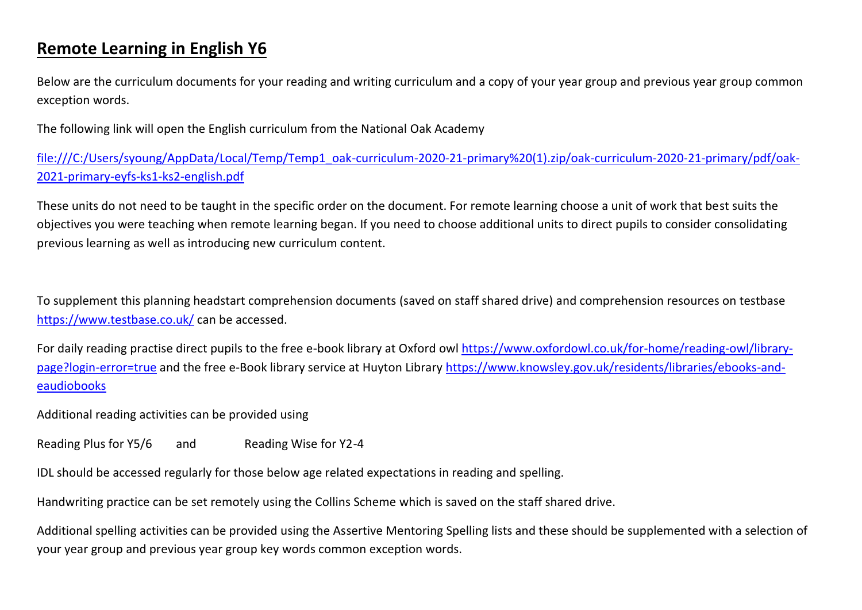### **Remote Learning in English Y6**

Below are the curriculum documents for your reading and writing curriculum and a copy of your year group and previous year group common exception words.

The following link will open the English curriculum from the National Oak Academy

[file:///C:/Users/syoung/AppData/Local/Temp/Temp1\\_oak-curriculum-2020-21-primary%20\(1\).zip/oak-curriculum-2020-21-primary/pdf/oak-](file:///C:/Users/syoung/AppData/Local/Temp/Temp1_oak-curriculum-2020-21-primary%20(1).zip/oak-curriculum-2020-21-primary/pdf/oak-2021-primary-eyfs-ks1-ks2-english.pdf)[2021-primary-eyfs-ks1-ks2-english.pdf](file:///C:/Users/syoung/AppData/Local/Temp/Temp1_oak-curriculum-2020-21-primary%20(1).zip/oak-curriculum-2020-21-primary/pdf/oak-2021-primary-eyfs-ks1-ks2-english.pdf)

These units do not need to be taught in the specific order on the document. For remote learning choose a unit of work that best suits the objectives you were teaching when remote learning began. If you need to choose additional units to direct pupils to consider consolidating previous learning as well as introducing new curriculum content.

To supplement this planning headstart comprehension documents (saved on staff shared drive) and comprehension resources on testbase <https://www.testbase.co.uk/> can be accessed.

For daily reading practise direct pupils to the free e-book library at Oxford owl [https://www.oxfordowl.co.uk/for-home/reading-owl/library](https://www.oxfordowl.co.uk/for-home/reading-owl/library-page?login-error=true)[page?login-error=true](https://www.oxfordowl.co.uk/for-home/reading-owl/library-page?login-error=true) and the free e-Book library service at Huyton Library [https://www.knowsley.gov.uk/residents/libraries/ebooks-and](https://www.knowsley.gov.uk/residents/libraries/ebooks-and-eaudiobooks)[eaudiobooks](https://www.knowsley.gov.uk/residents/libraries/ebooks-and-eaudiobooks)

Additional reading activities can be provided using

Reading Plus for Y5/6 and Reading Wise for Y2-4

IDL should be accessed regularly for those below age related expectations in reading and spelling.

Handwriting practice can be set remotely using the Collins Scheme which is saved on the staff shared drive.

Additional spelling activities can be provided using the Assertive Mentoring Spelling lists and these should be supplemented with a selection of your year group and previous year group key words common exception words.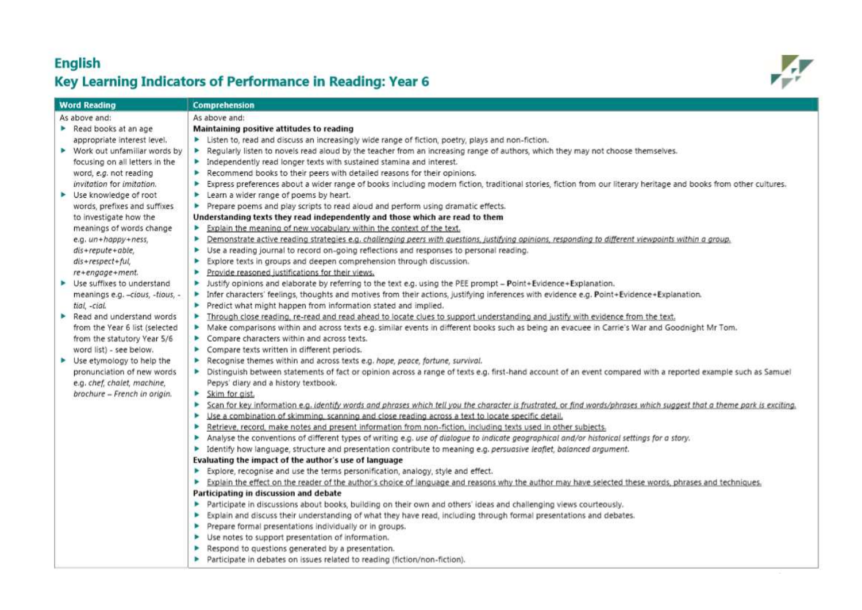#### **English** Key Learning Indicators of Performance in Reading: Year 6



| Word Reading                                     | <b>Comprehension</b>                                                                                                                                                         |
|--------------------------------------------------|------------------------------------------------------------------------------------------------------------------------------------------------------------------------------|
| As above and:                                    | As above and:                                                                                                                                                                |
| Read books at an age                             | Maintaining positive attitudes to reading                                                                                                                                    |
| appropriate interest level.                      | > Listen to, read and discuss an increasingly wide range of fiction, poetry, plays and non-fiction.                                                                          |
| $\triangleright$ Work out unfamiliar words by    | Regularly listen to novels read aloud by the teacher from an increasing range of authors, which they may not choose themselves.<br>P.                                        |
| focusing on all letters in the                   | $\blacktriangleright$ independently read longer texts with sustained stamina and interest.                                                                                   |
| word, e.g. not reading                           | Recommend books to their peers with detailed reasons for their opinions.<br>Þ.                                                                                               |
| invitation for imitation.                        | Express preferences about a wider range of books including modern fiction, traditional stories, fiction from our literary heritage and books from other cultures.<br>Þ.      |
| ▶ Use knowledge of root                          | Learn a wider range of poems by heart.<br>►                                                                                                                                  |
| words, prefixes and suffixes                     | Prepare poems and play scripts to read aloud and perform using dramatic effects.<br>٠                                                                                        |
| to investigate how the                           | Understanding texts they read independently and those which are read to them                                                                                                 |
| meanings of words change                         | Explain the meaning of new vocabulary within the context of the text.<br>×                                                                                                   |
| e.g. un+happy+ness,                              | > Demonstrate active reading strategies e.g. challenging peers with questions, justifying opinions, responding to different viewpoints within a group.                       |
| $dis+replace+able,$                              | Use a reading journal to record on-going reflections and responses to personal reading.<br>Þ.                                                                                |
| dis+respect+ful,                                 | ٠<br>Explore texts in groups and deepen comprehension through discussion.                                                                                                    |
| re+engage+ment.                                  | Provide reasoned justifications for their views.<br>٠                                                                                                                        |
| $\blacktriangleright$ Use suffixes to understand | > Justify opinions and elaborate by referring to the text e.g. using the PEE prompt - Point+Evidence+Explanation.                                                            |
| meanings e.g. -cious, -tious, -                  | > Infer characters' feelings, thoughts and motives from their actions, justifying inferences with evidence e.g. Point+Evidence+Explanation.                                  |
| tial, -cial.                                     | Predict what might happen from information stated and implied.<br>,                                                                                                          |
| $\triangleright$ Read and understand words       | Through close reading, re-read and read ahead to locate clues to support understanding and justify with evidence from the text.<br>٠                                         |
| from the Year 6 list (selected                   | > Make comparisons within and across texts e.g. similar events in different books such as being an evacuee in Carrie's War and Goodnight Mr Tom.                             |
| from the statutory Year 5/6                      | Compare characters within and across texts.                                                                                                                                  |
| word list) - see below.                          | Compare texts written in different periods.<br>ь                                                                                                                             |
| ▶ Use etymology to help the                      | Recognise themes within and across texts e.g. hope, peace, fortune, survival.<br>ь                                                                                           |
| pronunciation of new words                       | > Distinguish between statements of fact or opinion across a range of texts e.g. first-hand account of an event compared with a reported example such as Samuel              |
| e.g. chef, chalet, machine,                      | Pepys' diary and a history textbook.                                                                                                                                         |
| brochure - French in origin.                     | Skim for aist.                                                                                                                                                               |
|                                                  | ۰<br>Scan for key information e.g. identify words and phrases which tell you the character is frustrated, or find words/phrases which suggest that a theme park is exciting. |
|                                                  | Use a combination of skimming, scanning and close reading across a text to locate specific detail.<br>×                                                                      |
|                                                  | Retrieve, record, make notes and present information from non-fiction, including texts used in other subjects.<br>Þ.                                                         |
|                                                  | Analyse the conventions of different types of writing e.g. use of dialogue to indicate geographical and/or historical settings for a story.                                  |
|                                                  | identify how language, structure and presentation contribute to meaning e.g. persuasive leaflet, balanced argument.<br>Þ.                                                    |
|                                                  | Evaluating the impact of the author's use of language                                                                                                                        |
|                                                  | Explore, recognise and use the terms personification, analogy, style and effect.<br>Þ.                                                                                       |
|                                                  | Explain the effect on the reader of the author's choice of language and reasons why the author may have selected these words, phrases and techniques.<br>►                   |
|                                                  | Participating in discussion and debate                                                                                                                                       |
|                                                  | Participate in discussions about books, building on their own and others' ideas and challenging views courteously.<br>٠                                                      |
|                                                  | Explain and discuss their understanding of what they have read, including through formal presentations and debates.<br>Þ.                                                    |
|                                                  | Prepare formal presentations individually or in groups.                                                                                                                      |
|                                                  | ▶ Use notes to support presentation of information.                                                                                                                          |
|                                                  | Respond to questions generated by a presentation.                                                                                                                            |
|                                                  | Participate in debates on issues related to reading (fiction/non-fiction).<br>٠                                                                                              |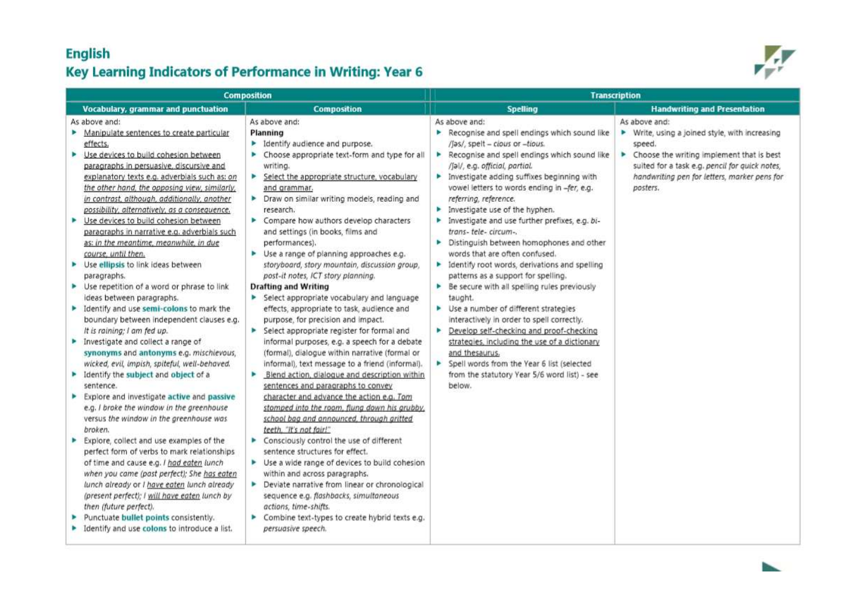#### **English** Key Learning Indicators of Performance in Writing: Year 6



| <b>Composition</b>                                                                                                                                                                                                                                                                                                                                                                                                                                                                                                                                                                                                                                                                                                                                                                                                                                                                                                                                                                                                                                                                                                                                                                                                                                                                                                                                                                                                                                                                                                                               |                                                                                                                                                                                                                                                                                                                                                                                                                                                                                                                                                                                                                                                                                                                                                                                                                                                                                                                                                                                                                                                                                                                                                                                                                                                                                                                                                                                                                                                                                                                            | <b>Transcription</b>                                                                                                                                                                                                                                                                                                                                                                                                                                                                                                                                                                                                                                                                                                                                                                                                                                                                                                                                                                                                                      |                                                                                                                                                                                                                                           |  |
|--------------------------------------------------------------------------------------------------------------------------------------------------------------------------------------------------------------------------------------------------------------------------------------------------------------------------------------------------------------------------------------------------------------------------------------------------------------------------------------------------------------------------------------------------------------------------------------------------------------------------------------------------------------------------------------------------------------------------------------------------------------------------------------------------------------------------------------------------------------------------------------------------------------------------------------------------------------------------------------------------------------------------------------------------------------------------------------------------------------------------------------------------------------------------------------------------------------------------------------------------------------------------------------------------------------------------------------------------------------------------------------------------------------------------------------------------------------------------------------------------------------------------------------------------|----------------------------------------------------------------------------------------------------------------------------------------------------------------------------------------------------------------------------------------------------------------------------------------------------------------------------------------------------------------------------------------------------------------------------------------------------------------------------------------------------------------------------------------------------------------------------------------------------------------------------------------------------------------------------------------------------------------------------------------------------------------------------------------------------------------------------------------------------------------------------------------------------------------------------------------------------------------------------------------------------------------------------------------------------------------------------------------------------------------------------------------------------------------------------------------------------------------------------------------------------------------------------------------------------------------------------------------------------------------------------------------------------------------------------------------------------------------------------------------------------------------------------|-------------------------------------------------------------------------------------------------------------------------------------------------------------------------------------------------------------------------------------------------------------------------------------------------------------------------------------------------------------------------------------------------------------------------------------------------------------------------------------------------------------------------------------------------------------------------------------------------------------------------------------------------------------------------------------------------------------------------------------------------------------------------------------------------------------------------------------------------------------------------------------------------------------------------------------------------------------------------------------------------------------------------------------------|-------------------------------------------------------------------------------------------------------------------------------------------------------------------------------------------------------------------------------------------|--|
| Vocabulary, grammar and punctuation                                                                                                                                                                                                                                                                                                                                                                                                                                                                                                                                                                                                                                                                                                                                                                                                                                                                                                                                                                                                                                                                                                                                                                                                                                                                                                                                                                                                                                                                                                              | <b>Composition</b>                                                                                                                                                                                                                                                                                                                                                                                                                                                                                                                                                                                                                                                                                                                                                                                                                                                                                                                                                                                                                                                                                                                                                                                                                                                                                                                                                                                                                                                                                                         | Spelling                                                                                                                                                                                                                                                                                                                                                                                                                                                                                                                                                                                                                                                                                                                                                                                                                                                                                                                                                                                                                                  | <b>Handwriting and Presentation</b>                                                                                                                                                                                                       |  |
| As above and:<br>• Manipulate sentences to create particular<br>effects.<br>• Use devices to build cohesion between<br>paragraphs in persuasive, discursive and<br>explanatory texts e.g. adverbials such as: on<br>the other hand, the opposing view, similarly,<br>in contrast, although, additionally, another<br>possibility, alternatively, as a consequence.<br>Use devices to build cohesion between<br>►<br>paragraphs in narrative e.g. adverbials such<br>as: in the meantime, meanwhile, in due<br>course, until then.<br>> Use ellipsis to link ideas between<br>paragraphs.<br>> Use repetition of a word or phrase to link<br>ideas between paragraphs.<br>learnify and use semi-colons to mark the<br>boundary between independent clauses e.g.<br>It is raining; I am fed up.<br>Investigate and collect a range of<br>synonyms and antonyms e.g. mischievous,<br>wicked, evil, impish, spiteful, well-behaved.<br>Identify the subject and object of a<br>sentence.<br>Explore and investigate active and passive<br>e.g. I broke the window in the greenhouse<br>versus the window in the greenhouse was<br>broken.<br>Explore, collect and use examples of the<br>perfect form of verbs to mark relationships<br>of time and cause e.g. I had eaten lunch<br>when you came (past perfect); She has eaten<br>lunch already or I have eaten lunch already<br>(present perfect); I will have eaten lunch by<br>then (future perfect).<br>Punctuate bullet points consistently.<br>• Identify and use colons to introduce a list. | As above and:<br>Planning<br>Identify audience and purpose.<br>▶ Choose appropriate text-form and type for all<br>writing.<br>Select the appropriate structure, vocabulary<br>and grammar.<br>> Draw on similar writing models, reading and<br>research.<br>Compare how authors develop characters<br>and settings (in books, films and<br>performances).<br>▶ Use a range of planning approaches e.g.<br>storyboard, story mountain, discussion group,<br>post-it notes, ICT story planning.<br><b>Drafting and Writing</b><br>Select appropriate vocabulary and language<br>effects, appropriate to task, audience and<br>purpose, for precision and impact.<br>Select appropriate register for formal and<br>informal purposes, e.g. a speech for a debate<br>(formal), dialogue within narrative (formal or<br>informal), text message to a friend (informal).<br>Blend action, dialogue and description within<br>٠<br>sentences and paragraphs to convey<br>character and advance the action e.g. Tom<br>stomped into the room, flung down his grubby,<br>school bag and announced, through gritted<br>teeth. "It's not fair!"<br>Consciously control the use of different<br>sentence structures for effect.<br>$\blacktriangleright$ Use a wide range of devices to build cohesion<br>within and across paragraphs.<br>Deviate narrative from linear or chronological<br>sequence e.g. flashbacks, simultaneous<br>actions, time-shifts.<br>> Combine text-types to create hybrid texts e.g.<br>persuasive speech. | As above and:<br>Recognise and spell endings which sound like<br>/Jas/, spelt - clous or -tious.<br>Recognise and spell endings which sound like<br>/Jal/, e.g. official, partial.<br>$\blacktriangleright$ Investigate adding suffixes beginning with<br>vowel letters to words ending in -fer, e.g.<br>referring, reference.<br>$\blacktriangleright$ Investigate use of the hyphen.<br>Investigate and use further prefixes, e.g. bi-<br>trans- tele- circum-.<br>Distinguish between homophones and other<br>words that are often confused.<br>• Identify root words, derivations and spelling<br>patterns as a support for spelling.<br>Be secure with all spelling rules previously<br>taught.<br>$\blacktriangleright$ Use a number of different strategies<br>interactively in order to spell correctly.<br>Develop self-checking and proof-checking<br>strategies, including the use of a dictionary<br>and thesaurus,<br>> Spell words from the Year 6 list (selected<br>from the statutory Year 5/6 word list) - see<br>below. | As above and:<br>▶ Write, using a joined style, with increasing<br>speed.<br>Choose the writing implement that is best<br>٠<br>suited for a task e.g. pencil for quick notes,<br>handwriting pen for letters, marker pens for<br>posters. |  |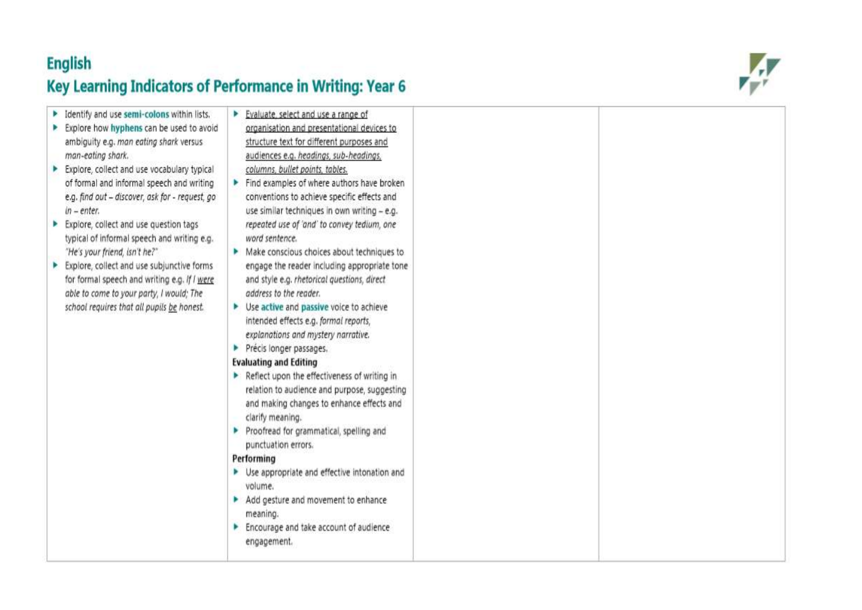## **English**

# Key Learning Indicators of Performance in Writing: Year 6



| Identify and use semi-colons within lists.<br>Explore how hyphens can be used to avoid<br>ambiguity e.g. man eating shark versus<br>man-eating shark.<br>Explore, collect and use vocabulary typical<br>of formal and informal speech and writing<br>e.g. find out - discover, ask for - request, go<br>$in$ – enter.<br>Explore, collect and use question tags<br>typical of informal speech and writing e.g.<br>"He's your friend, isn't he?"<br>Explore, collect and use subjunctive forms<br>for formal speech and writing e.g. If I were<br>able to come to your party, I would; The<br>school requires that all pupils be honest. | Evaluate, select and use a range of<br>organisation and presentational devices to<br>structure text for different purposes and<br>audiences e.g. headings, sub-headings,<br>columns, bullet points, tables.<br>Find examples of where authors have broken<br>conventions to achieve specific effects and<br>use similar techniques in own writing - e.g.<br>repeated use of 'and' to convey tedium, one<br>word sentence.<br>• Make conscious choices about techniques to<br>engage the reader including appropriate tone<br>and style e.g. rhetorical questions, direct<br>address to the reader.<br>▶ Use active and passive voice to achieve<br>intended effects e.g. formal reports,<br>explanations and mystery narrative.<br>Précis longer passages.<br>Þ<br><b>Evaluating and Editing</b><br>Reflect upon the effectiveness of writing in<br>relation to audience and purpose, suggesting<br>and making changes to enhance effects and<br>clarify meaning.<br>Proofread for grammatical, spelling and<br>punctuation errors.<br>Performing<br>> Use appropriate and effective intonation and<br>volume.<br>Add gesture and movement to enhance<br>meaning. |  |
|-----------------------------------------------------------------------------------------------------------------------------------------------------------------------------------------------------------------------------------------------------------------------------------------------------------------------------------------------------------------------------------------------------------------------------------------------------------------------------------------------------------------------------------------------------------------------------------------------------------------------------------------|-------------------------------------------------------------------------------------------------------------------------------------------------------------------------------------------------------------------------------------------------------------------------------------------------------------------------------------------------------------------------------------------------------------------------------------------------------------------------------------------------------------------------------------------------------------------------------------------------------------------------------------------------------------------------------------------------------------------------------------------------------------------------------------------------------------------------------------------------------------------------------------------------------------------------------------------------------------------------------------------------------------------------------------------------------------------------------------------------------------------------------------------------------------------|--|
|                                                                                                                                                                                                                                                                                                                                                                                                                                                                                                                                                                                                                                         | Encourage and take account of audience<br>engagement.                                                                                                                                                                                                                                                                                                                                                                                                                                                                                                                                                                                                                                                                                                                                                                                                                                                                                                                                                                                                                                                                                                             |  |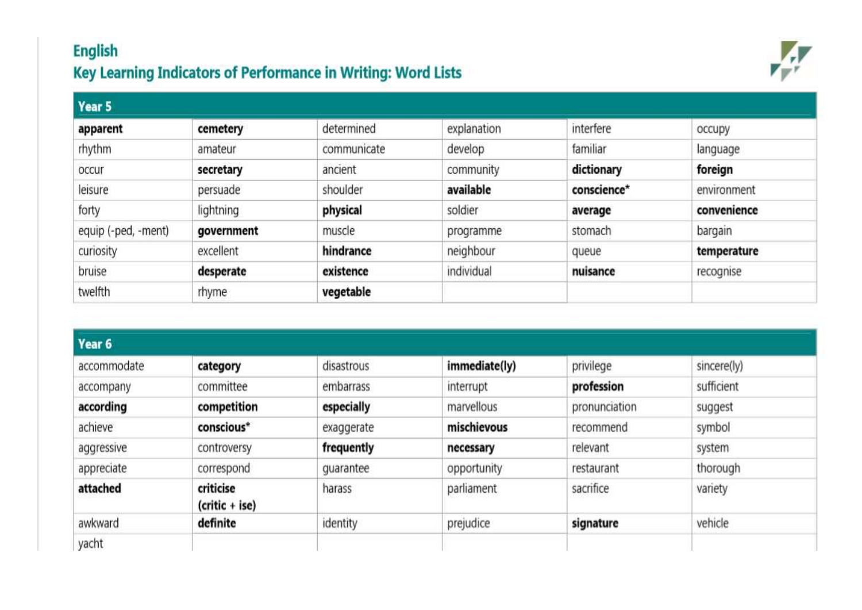## **English** Key Learning Indicators of Performance in Writing: Word Lists



| Year 5              |            |             |             |             |             |
|---------------------|------------|-------------|-------------|-------------|-------------|
| apparent            | cemetery   | determined  | explanation | interfere   | occupy      |
| rhythm              | amateur    | communicate | develop     | familiar    | language    |
| occur               | secretary  | ancient     | community   | dictionary  | foreign     |
| leisure             | persuade   | shoulder    | available   | conscience* | environment |
| forty               | lightning  | physical    | soldier     | average     | convenience |
| equip (-ped, -ment) | government | muscle      | programme   | stomach     | bargain     |
| curiosity           | excellent  | hindrance   | neighbour   | queue       | temperature |
| bruise              | desperate  | existence   | individual  | nuisance    | recognise   |
| twelfth             | rhyme      | vegetable   |             |             |             |

| Year 6      |                               |            |               |               |             |
|-------------|-------------------------------|------------|---------------|---------------|-------------|
| accommodate | category                      | disastrous | immediate(ly) | privilege     | sincere(ly) |
| accompany   | committee                     | embarrass  | interrupt     | profession    | sufficient  |
| according   | competition                   | especially | marvellous    | pronunciation | suggest     |
| achieve     | conscious*                    | exaggerate | mischievous   | recommend     | symbol      |
| aggressive  | controversy                   | frequently | necessary     | relevant      | system      |
| appreciate  | correspond                    | quarantee  | opportunity   | restaurant    | thorough    |
| attached    | criticise<br>$(critic + ise)$ | harass     | parliament    | sacrifice     | variety     |
| awkward     | definite                      | identity   | prejudice     | signature     | vehicle     |
| yacht       |                               |            |               |               |             |